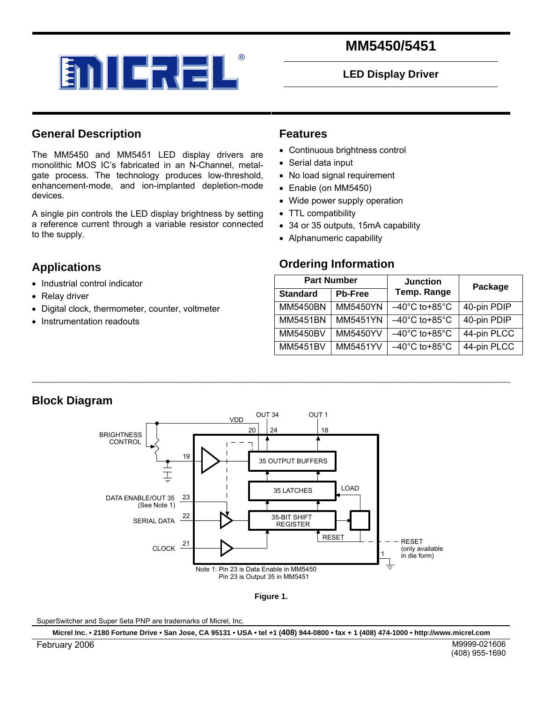

# **MM5450/5451**

#### **LED Display Driver**

#### **General Description**

The MM5450 and MM5451 LED display drivers are monolithic MOS IC's fabricated in an N-Channel, metalgate process. The technology produces low-threshold, enhancement-mode, and ion-implanted depletion-mode devices.

A single pin controls the LED display brightness by setting a reference current through a variable resistor connected to the supply.

### **Applications**

- Industrial control indicator
- Relay driver
- Digital clock, thermometer, counter, voltmeter
- Instrumentation readouts

#### **Features**

- Continuous brightness control
- Serial data input
- No load signal requirement
- Enable (on MM5450)
- Wide power supply operation
- TTL compatibility
- 34 or 35 outputs, 15mA capability
- Alphanumeric capability

#### **Ordering Information**

| <b>Part Number</b> |                | <b>Junction</b>                    | Package     |  |
|--------------------|----------------|------------------------------------|-------------|--|
| <b>Standard</b>    | <b>Pb-Free</b> | Temp. Range                        |             |  |
| <b>MM5450BN</b>    | MM5450YN       | $-40^{\circ}$ C to+85 $^{\circ}$ C | 40-pin PDIP |  |
| MM5451BN           | MM5451YN       | $-40^{\circ}$ C to+85 $^{\circ}$ C | 40-pin PDIP |  |
| MM5450BV           | MM5450YV       | $-40^{\circ}$ C to+85 $^{\circ}$ C | 44-pin PLCC |  |
| MM5451BV           | MM5451YV       | $-40^{\circ}$ C to+85 $^{\circ}$ C | 44-pin PLCC |  |

#### **Block Diagram**



\_\_\_\_\_\_\_\_\_\_\_\_\_\_\_\_\_\_\_\_\_\_\_\_\_\_\_\_\_\_\_\_\_\_\_\_\_\_\_\_\_\_\_\_\_\_\_\_\_\_\_\_\_\_\_\_\_\_\_\_\_\_\_\_\_\_\_\_\_\_\_\_\_\_\_\_\_\_\_\_\_\_\_\_\_\_\_\_\_\_\_\_\_\_\_\_\_\_\_\_\_\_\_\_\_\_\_\_

**Figure 1.** 

SuperSwitcher and Super ßeta PNP are trademarks of Micrel, Inc.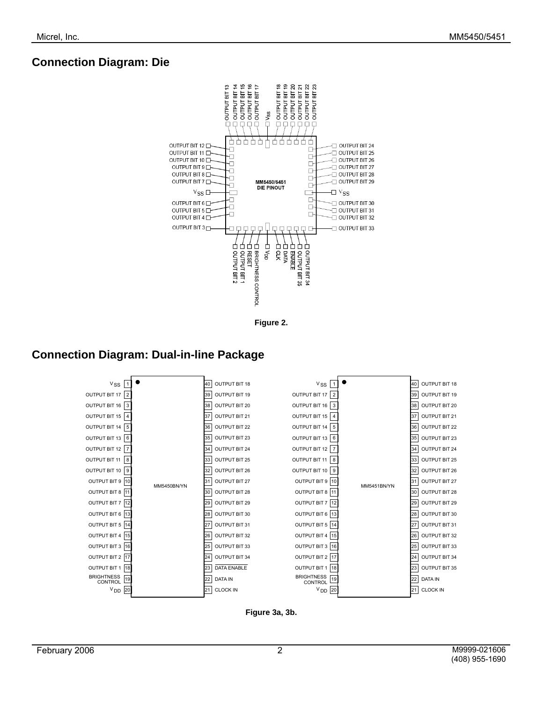# **Connection Diagram: Die**



**Figure 2.** 

# **Connection Diagram: Dual-in-line Package**



**Figure 3a, 3b.**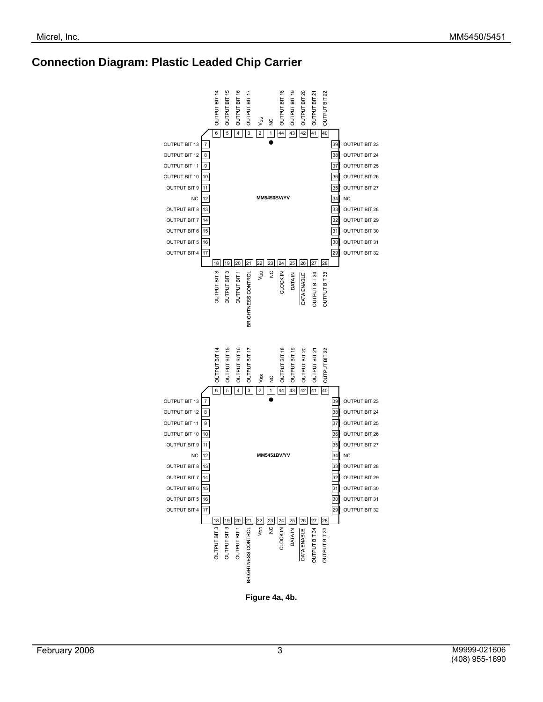# **Connection Diagram: Plastic Leaded Chip Carrier**



**Figure 4a, 4b.**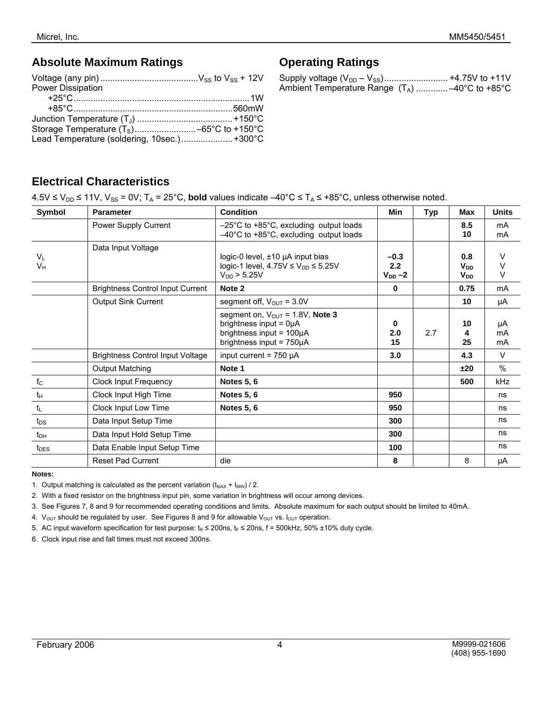#### **Absolute Maximum Ratings**

| Power Dissipation                           |  |
|---------------------------------------------|--|
|                                             |  |
|                                             |  |
|                                             |  |
|                                             |  |
| Lead Temperature (soldering, 10sec.) +300°C |  |

# **Operating Ratings**

| Ambient Temperature Range $(T_A)$ -40°C to +85°C |
|--------------------------------------------------|

## **Electrical Characteristics**

 $4.5V \leq V_{DD} \leq 11V$ ,  $V_{SS} = 0V$ ; T<sub>A</sub> = 25°C, **bold** values indicate –40°C ≤ T<sub>A</sub> ≤ +85°C, unless otherwise noted.

| Symbol           | <b>Parameter</b>                        | <b>Condition</b>                                                                                                                              | Min                          | <b>Typ</b> | Max                                       | <b>Units</b>   |
|------------------|-----------------------------------------|-----------------------------------------------------------------------------------------------------------------------------------------------|------------------------------|------------|-------------------------------------------|----------------|
|                  | Power Supply Current                    | $-25^{\circ}$ C to +85 $^{\circ}$ C, excluding output loads<br>$-40^{\circ}$ C to +85 $^{\circ}$ C, excluding output loads                    |                              |            | 8.5<br>10                                 | mA<br>mA       |
| $V_{L}$<br>Vн    | Data Input Voltage                      | logic-0 level, $\pm$ 10 µA input bias<br>logic-1 level, $4.75V \le V_{DD} \le 5.25V$<br>$V_{DD}$ > 5.25V                                      | $-0.3$<br>2.2<br>$V_{DD}$ -2 |            | 0.8<br><b>V</b> <sub>DD</sub><br>$V_{DD}$ | V<br>V<br>V    |
|                  | <b>Brightness Control Input Current</b> | Note 2                                                                                                                                        | 0                            |            | 0.75                                      | mA             |
|                  | <b>Output Sink Current</b>              | segment off, $V_{OUT} = 3.0V$                                                                                                                 |                              |            | 10                                        | μA             |
|                  |                                         | segment on, $V_{\text{OUT}} = 1.8V$ , Note 3<br>brightness input = $0\mu A$<br>brightness input = $100\mu A$<br>brightness input = $750\mu A$ | 0<br>2.0<br>15               | 2.7        | 10<br>25                                  | μA<br>mA<br>mA |
|                  | <b>Brightness Control Input Voltage</b> | input current = $750 \mu A$                                                                                                                   | 3.0                          |            | 4.3                                       | V              |
|                  | <b>Output Matching</b>                  | Note 1                                                                                                                                        |                              |            | ±20                                       | $\frac{0}{0}$  |
| $f_{\rm C}$      | <b>Clock Input Frequency</b>            | <b>Notes 5, 6</b>                                                                                                                             |                              |            | 500                                       | kHz            |
| $t_{H}$          | Clock Input High Time                   | <b>Notes 5, 6</b>                                                                                                                             | 950                          |            |                                           | ns             |
| $t_L$            | Clock Input Low Time                    | <b>Notes 5, 6</b>                                                                                                                             | 950                          |            |                                           | ns             |
| $t_{DS}$         | Data Input Setup Time                   |                                                                                                                                               | 300                          |            |                                           | ns             |
| $t_{DH}$         | Data Input Hold Setup Time              |                                                                                                                                               | 300                          |            |                                           | ns             |
| t <sub>DES</sub> | Data Enable Input Setup Time            |                                                                                                                                               | 100                          |            |                                           | ns             |
|                  | <b>Reset Pad Current</b>                | die                                                                                                                                           | 8                            |            | 8                                         | μA             |

#### **Notes:**

1. Output matching is calculated as the percent variation  $(I_{MAX} + I_{MIN}) / 2$ .

2. With a fixed resistor on the brightness input pin, some variation in brightness will occur among devices.

3. See Figures 7, 8 and 9 for recommended operating conditions and limits. Absolute maximum for each output should be limited to 40mA.

4.  $V_{\text{OUT}}$  should be regulated by user. See Figures 8 and 9 for allowable  $V_{\text{OUT}}$  vs.  $I_{\text{OUT}}$  operation.

5. AC input waveform specification for test purpose:  $t<sub>R</sub> \le 200$ ns,  $t<sub>F</sub> \le 20$ ns, f = 500kHz, 50% ±10% duty cycle.

6. Clock input rise and fall times must not exceed 300ns.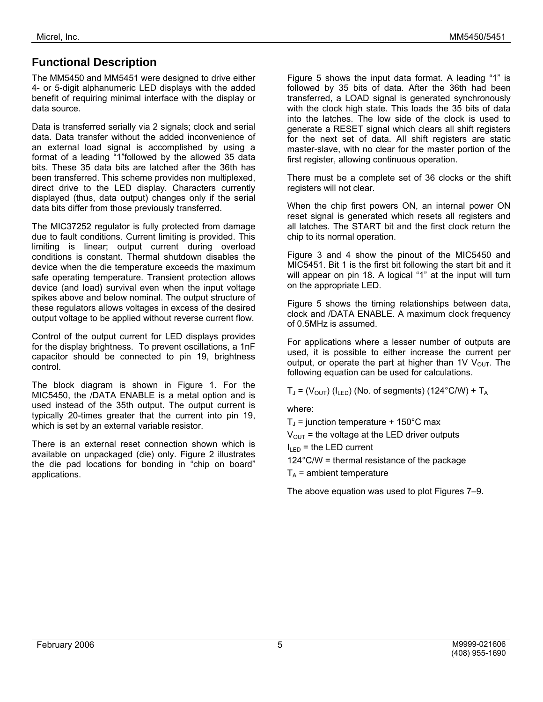# **Functional Description**

The MM5450 and MM5451 were designed to drive either 4- or 5-digit alphanumeric LED displays with the added benefit of requiring minimal interface with the display or data source.

Data is transferred serially via 2 signals; clock and serial data. Data transfer without the added inconvenience of an external load signal is accomplished by using a format of a leading "1"followed by the allowed 35 data bits. These 35 data bits are latched after the 36th has been transferred. This scheme provides non multiplexed, direct drive to the LED display. Characters currently displayed (thus, data output) changes only if the serial data bits differ from those previously transferred.

The MIC37252 regulator is fully protected from damage due to fault conditions. Current limiting is provided. This limiting is linear; output current during overload conditions is constant. Thermal shutdown disables the device when the die temperature exceeds the maximum safe operating temperature. Transient protection allows device (and load) survival even when the input voltage spikes above and below nominal. The output structure of these regulators allows voltages in excess of the desired output voltage to be applied without reverse current flow.

Control of the output current for LED displays provides for the display brightness. To prevent oscillations, a 1nF capacitor should be connected to pin 19, brightness control.

The block diagram is shown in Figure 1. For the MIC5450, the /DATA ENABLE is a metal option and is used instead of the 35th output. The output current is typically 20-times greater that the current into pin 19, which is set by an external variable resistor.

There is an external reset connection shown which is available on unpackaged (die) only. Figure 2 illustrates the die pad locations for bonding in "chip on board" applications.

Figure 5 shows the input data format. A leading "1" is followed by 35 bits of data. After the 36th had been transferred, a LOAD signal is generated synchronously with the clock high state. This loads the 35 bits of data into the latches. The low side of the clock is used to generate a RESET signal which clears all shift registers for the next set of data. All shift registers are static master-slave, with no clear for the master portion of the first register, allowing continuous operation.

There must be a complete set of 36 clocks or the shift registers will not clear.

When the chip first powers ON, an internal power ON reset signal is generated which resets all registers and all latches. The START bit and the first clock return the chip to its normal operation.

Figure 3 and 4 show the pinout of the MIC5450 and MIC5451. Bit 1 is the first bit following the start bit and it will appear on pin 18. A logical "1" at the input will turn on the appropriate LED.

Figure 5 shows the timing relationships between data, clock and /DATA ENABLE. A maximum clock frequency of 0.5MHz is assumed.

For applications where a lesser number of outputs are used, it is possible to either increase the current per output, or operate the part at higher than 1V  $V_{OUT}$ . The following equation can be used for calculations.

 $T_J$  = (V<sub>OUT</sub>) (I<sub>LED</sub>) (No. of segments) (124°C/W) + T<sub>A</sub>

where:

 $T_{\text{J}}$  = junction temperature + 150°C max

 $V_{\text{OUT}}$  = the voltage at the LED driver outputs

 $I_{\text{LED}}$  = the LED current

124°C/W = thermal resistance of the package

 $T_A$  = ambient temperature

The above equation was used to plot Figures 7–9.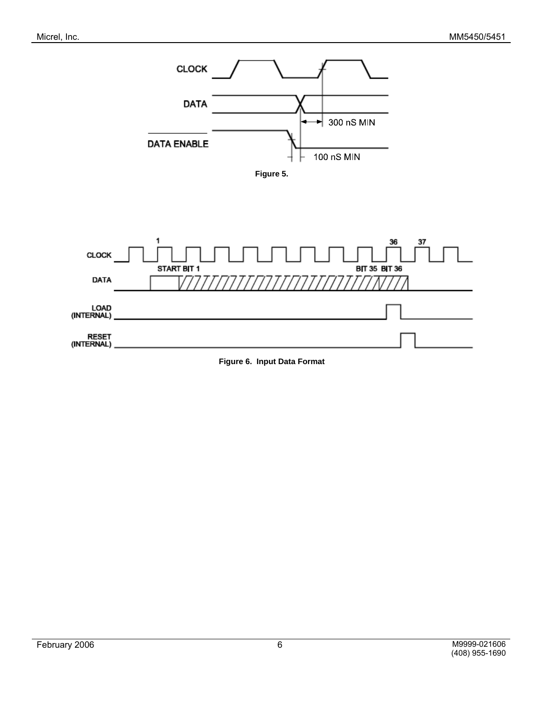





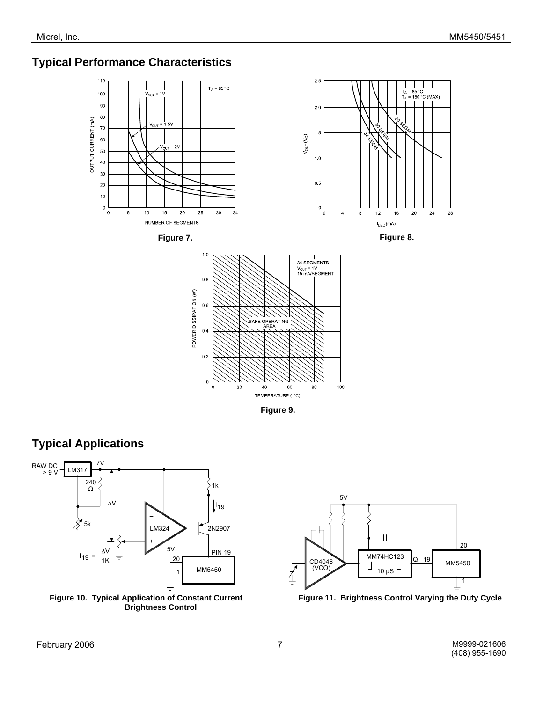# **Typical Performance Characteristics**



**Figure 9.**



 **Brightness Control** 



Figure 10. Typical Application of Constant Current Figure 11. Brightness Control Varying the Duty Cycle

**Typical Applications**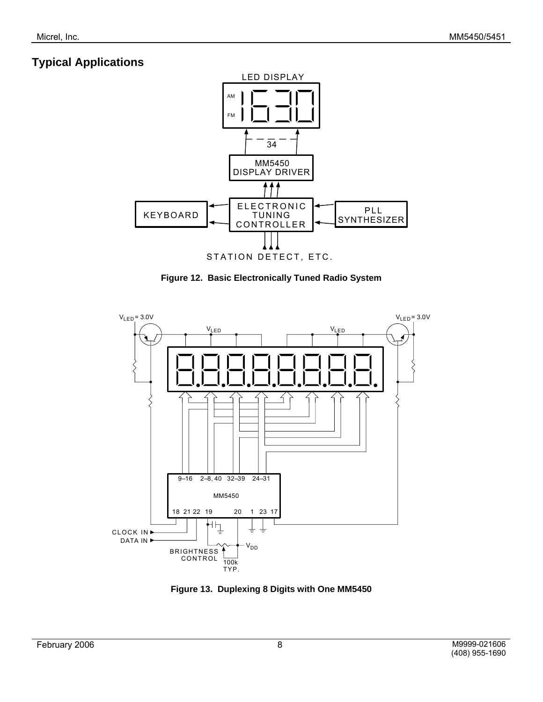# **Typical Applications**



**Figure 12. Basic Electronically Tuned Radio System** 



**Figure 13. Duplexing 8 Digits with One MM5450**